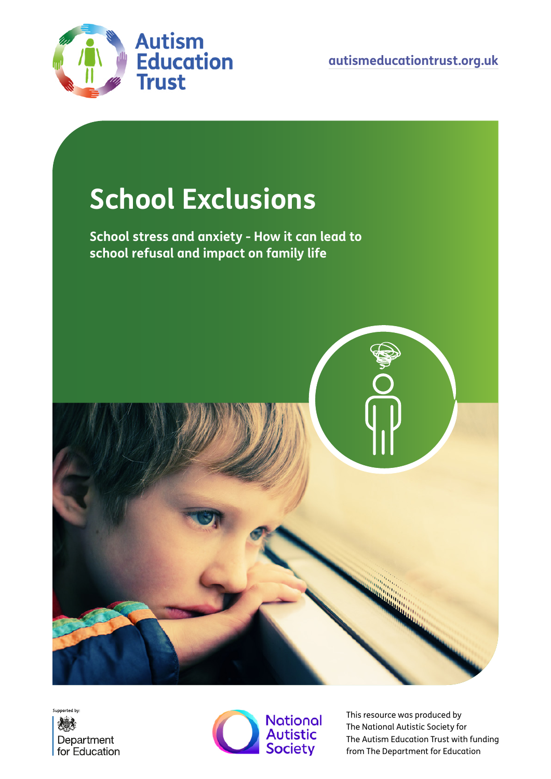

**[autismeducationtrust.org.uk](http://www.autismeducationtrust.org.uk)**

# **School Exclusions**

**School stress and anxiety - How it can lead to school refusal and impact on family life**







This resource was produced by The National Autistic Society for The Autism Education Trust with funding from The Department for Education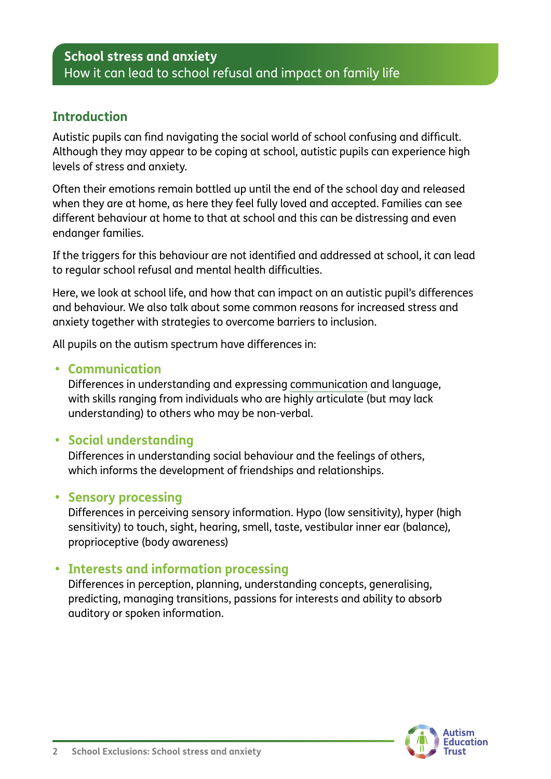#### **Introduction**

Autistic pupils can find navigating the social world of school confusing and difficult. Although they may appear to be coping at school, autistic pupils can experience high levels of stress and anxiety.

Often their emotions remain bottled up until the end of the school day and released when they are at home, as here they feel fully loved and accepted. Families can see different behaviour at home to that at school and this can be distressing and even endanger families.

If the triggers for this behaviour are not identified and addressed at school, it can lead to regular school refusal and mental health difficulties.

Here, we look at school life, and how that can impact on an autistic pupil's differences and behaviour. We also talk about some common reasons for increased stress and anxiety together with strategies to overcome barriers to inclusion.

All pupils on the autism spectrum have differences in:

#### **• Communication**

Differences in understanding and expressing [communication](https://www.autism.org.uk/about/communication/communicating.aspx) and language, with skills ranging from individuals who are highly articulate (but may lack understanding) to others who may be non-verbal.

#### **• Social understanding**

Differences in understanding social behaviour and the feelings of others, which informs the development of friendships and relationships.

#### **• Sensory processing**

Differences in perceiving sensory information. Hypo (low sensitivity), hyper (high sensitivity) to touch, sight, hearing, smell, taste, vestibular inner ear (balance), proprioceptive (body awareness)

#### **• Interests and information processing**

Differences in perception, planning, understanding concepts, generalising, predicting, managing transitions, passions for interests and ability to absorb auditory or spoken information.

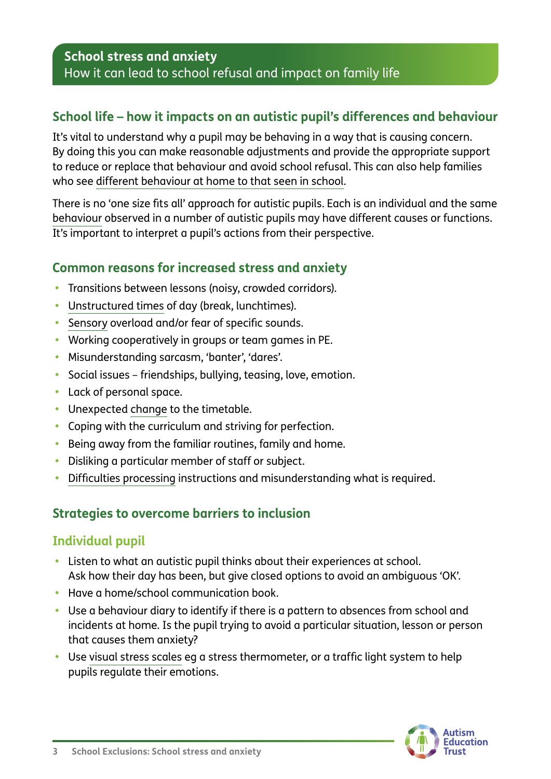## **School life – how it impacts on an autistic pupil's differences and behaviour**

It's vital to understand why a pupil may be behaving in a way that is causing concern. By doing this you can make reasonable adjustments and provide the appropriate support to reduce or replace that behaviour and avoid school refusal. This can also help families who see [different behaviour at home to that seen in school](https://www.autism.org.uk/advice-and-guidance/topics/education/different-behaviour-between-school-and-home).

There is no 'one size fits all' approach for autistic pupils. Each is an individual and the same [behaviour](https://www.autism.org.uk/advice-and-guidance/topics/behaviour/distressed-behaviour/all-audiences) observed in a number of autistic pupils may have different causes or functions. It's important to interpret a pupil's actions from their perspective.

## **Common reasons for increased stress and anxiety**

- **•** Transitions between lessons (noisy, crowded corridors).
- **•** [Unstructured times](https://www.autism.org.uk/advice-and-guidance/topics/education/difficulties-break-times/teachers) of day (break, lunchtimes).
- **•** [Sensory](https://www.autism.org.uk/sensory) overload and/or fear of specific sounds.
- **•** Working cooperatively in groups or team games in PE.
- **•** Misunderstanding sarcasm, 'banter', 'dares'.
- **•** Social issues friendships, bullying, teasing, love, emotion.
- **•** Lack of personal space.
- **•** Unexpected [change](https://www.autism.org.uk/advice-and-guidance/topics/behaviour/dealing-with-change/all-audiences) to the timetable.
- **•** Coping with the curriculum and striving for perfection.
- **•** Being away from the familiar routines, family and home.
- **•** Disliking a particular member of staff or subject.
- **•** [Difficulties processing](https://www.autism.org.uk/advice-and-guidance/topics/behaviour/organising-and-prioritising/all-audiences) instructions and misunderstanding what is required.

## **Strategies to overcome barriers to inclusion**

#### **Individual pupil**

- **•** Listen to what an autistic pupil thinks about their experiences at school. Ask how their day has been, but give closed options to avoid an ambiguous 'OK'.
- **•** Have a home/school communication book.
- **•** Use a behaviour diary to identify if there is a pattern to absences from school and incidents at home. Is the pupil trying to avoid a particular situation, lesson or person that causes them anxiety?
- **•** Use [visual stress scales](https://www.autismeducationtrust.org.uk/shop/i-t4t/) eg a stress thermometer, or a traffic light system to help pupils regulate their emotions.

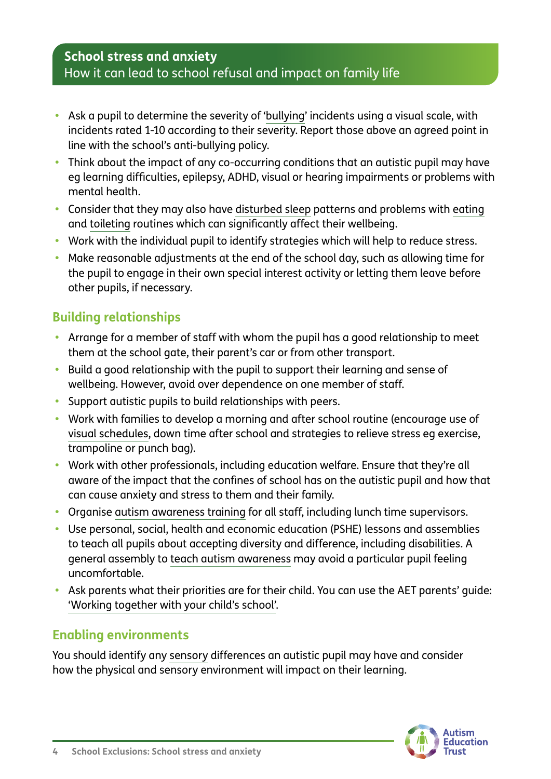- **•** Ask a pupil to determine the severity of ['bullying](https://www.autism.org.uk/advice-and-guidance/topics/bullying/bullying/teachers)' incidents using a visual scale, with incidents rated 1-10 according to their severity. Report those above an agreed point in line with the school's anti-bullying policy.
- **•** Think about the impact of any co-occurring conditions that an autistic pupil may have eg learning difficulties, epilepsy, ADHD, visual or hearing impairments or problems with mental health.
- **•** Consider that they may also have [disturbed sleep](https://www.autism.org.uk/advice-and-guidance/topics/physical-health/sleep) patterns and problems with [eating](https://www.autism.org.uk/advice-and-guidance/topics/behaviour/eating) and [toileting](https://www.autism.org.uk/advice-and-guidance/topics/behaviour/toileting/parents) routines which can significantly affect their wellbeing.
- **•** Work with the individual pupil to identify strategies which will help to reduce stress.
- **•** Make reasonable adjustments at the end of the school day, such as allowing time for the pupil to engage in their own special interest activity or letting them leave before other pupils, if necessary.

# **Building relationships**

- **•** Arrange for a member of staff with whom the pupil has a good relationship to meet them at the school gate, their parent's car or from other transport.
- **•** Build a good relationship with the pupil to support their learning and sense of wellbeing. However, avoid over dependence on one member of staff.
- **•** Support autistic pupils to build relationships with peers.
- **•** Work with families to develop a morning and after school routine (encourage use of [visual schedules](https://www.autism.org.uk/advice-and-guidance/topics/communication/communication-tools/visual-supports), down time after school and strategies to relieve stress eg exercise, trampoline or punch bag).
- **•** Work with other professionals, including education welfare. Ensure that they're all aware of the impact that the confines of school has on the autistic pupil and how that can cause anxiety and stress to them and their family.
- **•** Organise [autism awareness training](https://www.autismeducationtrust.org.uk/training-programme/) for all staff, including lunch time supervisors.
- **•** Use personal, social, health and economic education (PSHE) lessons and assemblies to teach all pupils about accepting diversity and difference, including disabilities. A general assembly to [teach autism awareness](https://www.autism.org.uk/get-involved/raise-money/world-autism-awareness-week/free-learning-resources-for-your-school) may avoid a particular pupil feeling uncomfortable.
- **•** Ask parents what their priorities are for their child. You can use the AET parents' guide: ['Working together with your child's school'](https://www.autismeducationtrust.org.uk/shop/parents-guide/).

## **Enabling environments**

You should identify any [sensory](https://www.autism.org.uk/sensory) differences an autistic pupil may have and consider how the physical and sensory environment will impact on their learning.

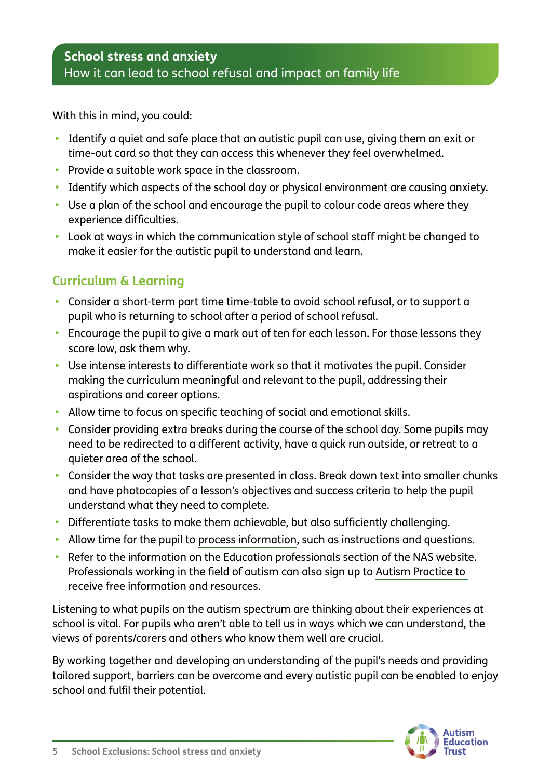With this in mind, you could:

- **•** Identify a quiet and safe place that an autistic pupil can use, giving them an exit or time-out card so that they can access this whenever they feel overwhelmed.
- **•** Provide a suitable work space in the classroom.
- **•** Identify which aspects of the school day or physical environment are causing anxiety.
- **•** Use a plan of the school and encourage the pupil to colour code areas where they experience difficulties.
- **•** Look at ways in which the communication style of school staff might be changed to make it easier for the autistic pupil to understand and learn.

# **Curriculum & Learning**

- **•** Consider a short-term part time time-table to avoid school refusal, or to support a pupil who is returning to school after a period of school refusal.
- **•** Encourage the pupil to give a mark out of ten for each lesson. For those lessons they score low, ask them why.
- **•** Use intense interests to differentiate work so that it motivates the pupil. Consider making the curriculum meaningful and relevant to the pupil, addressing their aspirations and career options.
- **•** Allow time to focus on specific teaching of social and emotional skills.
- **•** Consider providing extra breaks during the course of the school day. Some pupils may need to be redirected to a different activity, have a quick run outside, or retreat to a quieter area of the school.
- **•** Consider the way that tasks are presented in class. Break down text into smaller chunks and have photocopies of a lesson's objectives and success criteria to help the pupil understand what they need to complete.
- **•** Differentiate tasks to make them achievable, but also sufficiently challenging.
- **•** Allow time for the pupil to [process information,](https://www.autism.org.uk/advice-and-guidance/topics/behaviour/organising-and-prioritising/all-audiences) such as instructions and questions.
- **•** Refer to the information on the [Education professionals](https://www.autism.org.uk/what-we-do/education-professionals) section of the NAS website. Professionals working in the field of autism can also sign up to [Autism Practice to](https://www.autism.org.uk/what-we-do/professional-development/autism-practice)  [receive free information and resources.](https://www.autism.org.uk/what-we-do/professional-development/autism-practice)

Listening to what pupils on the autism spectrum are thinking about their experiences at school is vital. For pupils who aren't able to tell us in ways which we can understand, the views of parents/carers and others who know them well are crucial.

By working together and developing an understanding of the pupil's needs and providing tailored support, barriers can be overcome and every autistic pupil can be enabled to enjoy school and fulfil their potential.